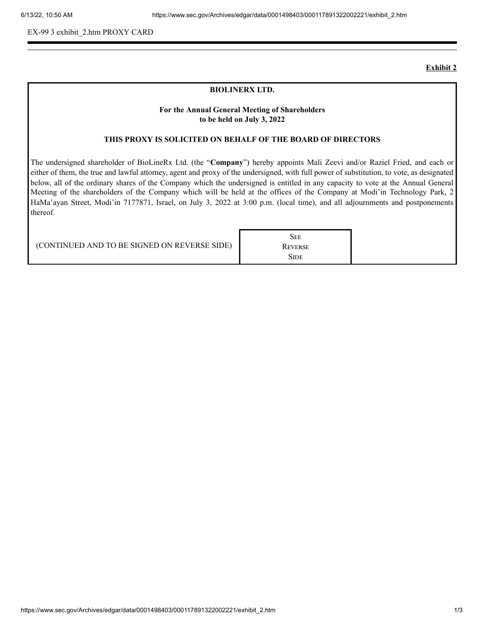EX-99 3 exhibit\_2.htm PROXY CARD

#### **Exhibit 2**

#### **BIOLINERX LTD.**

# **For the Annual General Meeting of Shareholders to be held on July 3, 2022**

### **THIS PROXY IS SOLICITED ON BEHALF OF THE BOARD OF DIRECTORS**

The undersigned shareholder of BioLineRx Ltd. (the "**Company**") hereby appoints Mali Zeevi and/or Raziel Fried, and each or either of them, the true and lawful attorney, agent and proxy of the undersigned, with full power of substitution, to vote, as designated below, all of the ordinary shares of the Company which the undersigned is entitled in any capacity to vote at the Annual General Meeting of the shareholders of the Company which will be held at the offices of the Company at Modi'in Technology Park, 2 HaMa'ayan Street, Modi'in 7177871, Israel, on July 3, 2022 at 3:00 p.m. (local time), and all adjournments and postponements thereof.

**SEE REVERSE SIDE**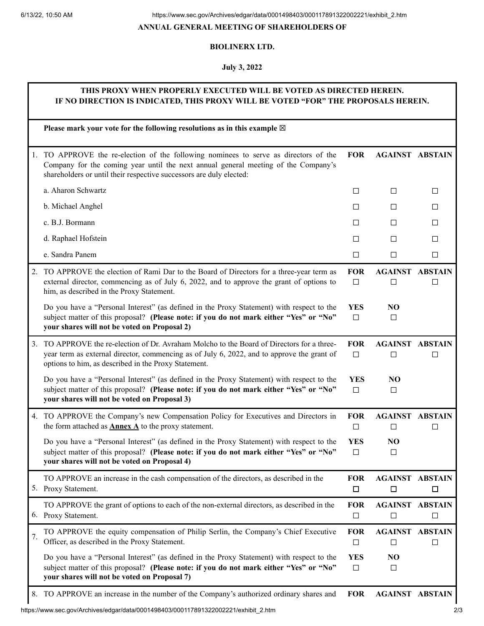### **ANNUAL GENERAL MEETING OF SHAREHOLDERS OF**

# **BIOLINERX LTD.**

## **July 3, 2022**

# **THIS PROXY WHEN PROPERLY EXECUTED WILL BE VOTED AS DIRECTED HEREIN. IF NO DIRECTION IS INDICATED, THIS PROXY WILL BE VOTED "FOR" THE PROPOSALS HEREIN.**

|    | Please mark your vote for the following resolutions as in this example $\boxtimes$                                                                                                                                                             |                      |                                  |                     |
|----|------------------------------------------------------------------------------------------------------------------------------------------------------------------------------------------------------------------------------------------------|----------------------|----------------------------------|---------------------|
| 1. | TO APPROVE the re-election of the following nominees to serve as directors of the<br>Company for the coming year until the next annual general meeting of the Company's<br>shareholders or until their respective successors are duly elected: | <b>FOR</b>           | <b>AGAINST ABSTAIN</b>           |                     |
|    | a. Aharon Schwartz                                                                                                                                                                                                                             | □                    | □                                | □                   |
|    | b. Michael Anghel                                                                                                                                                                                                                              | $\Box$               | □                                | □                   |
|    | c. B.J. Bormann                                                                                                                                                                                                                                | $\Box$               | $\Box$                           | $\Box$              |
|    | d. Raphael Hofstein                                                                                                                                                                                                                            | □                    | □                                | □                   |
|    | e. Sandra Panem                                                                                                                                                                                                                                | $\Box$               | □                                | □                   |
|    | 2. TO APPROVE the election of Rami Dar to the Board of Directors for a three-year term as<br>external director, commencing as of July 6, 2022, and to approve the grant of options to<br>him, as described in the Proxy Statement.             | <b>FOR</b><br>$\Box$ | <b>AGAINST</b><br>□              | <b>ABSTAIN</b><br>□ |
|    | Do you have a "Personal Interest" (as defined in the Proxy Statement) with respect to the<br>subject matter of this proposal? (Please note: if you do not mark either "Yes" or "No"<br>your shares will not be voted on Proposal 2)            | <b>YES</b><br>$\Box$ | NO<br>$\Box$                     |                     |
| 3. | TO APPROVE the re-election of Dr. Avraham Molcho to the Board of Directors for a three-<br>year term as external director, commencing as of July 6, 2022, and to approve the grant of<br>options to him, as described in the Proxy Statement.  | <b>FOR</b><br>$\Box$ | <b>AGAINST ABSTAIN</b><br>$\Box$ | П                   |
|    | Do you have a "Personal Interest" (as defined in the Proxy Statement) with respect to the<br>subject matter of this proposal? (Please note: if you do not mark either "Yes" or "No"<br>your shares will not be voted on Proposal 3)            | <b>YES</b><br>$\Box$ | N <sub>O</sub><br>□              |                     |
|    | 4. TO APPROVE the Company's new Compensation Policy for Executives and Directors in<br>the form attached as <b>Annex A</b> to the proxy statement.                                                                                             | <b>FOR</b><br>$\Box$ | <b>AGAINST</b><br>$\Box$         | <b>ABSTAIN</b><br>□ |
|    | Do you have a "Personal Interest" (as defined in the Proxy Statement) with respect to the<br>subject matter of this proposal? (Please note: if you do not mark either "Yes" or "No"<br>your shares will not be voted on Proposal 4)            | <b>YES</b><br>$\Box$ | N <sub>O</sub><br>□              |                     |
|    | TO APPROVE an increase in the cash compensation of the directors, as described in the<br>5. Proxy Statement.                                                                                                                                   | <b>FOR</b><br>$\Box$ | <b>AGAINST ABSTAIN</b><br>$\Box$ | $\Box$              |
|    | TO APPROVE the grant of options to each of the non-external directors, as described in the<br>6. Proxy Statement.                                                                                                                              | <b>FOR</b><br>$\Box$ | <b>AGAINST ABSTAIN</b><br>$\Box$ | $\Box$              |
| 7. | TO APPROVE the equity compensation of Philip Serlin, the Company's Chief Executive<br>Officer, as described in the Proxy Statement.                                                                                                            | <b>FOR</b><br>$\Box$ | <b>AGAINST ABSTAIN</b><br>$\Box$ | □                   |
|    | Do you have a "Personal Interest" (as defined in the Proxy Statement) with respect to the<br>subject matter of this proposal? (Please note: if you do not mark either "Yes" or "No"<br>your shares will not be voted on Proposal 7)            | <b>YES</b><br>$\Box$ | NO<br>□                          |                     |
|    | 8. TO APPROVE an increase in the number of the Company's authorized ordinary shares and                                                                                                                                                        | <b>FOR</b>           | <b>AGAINST ABSTAIN</b>           |                     |